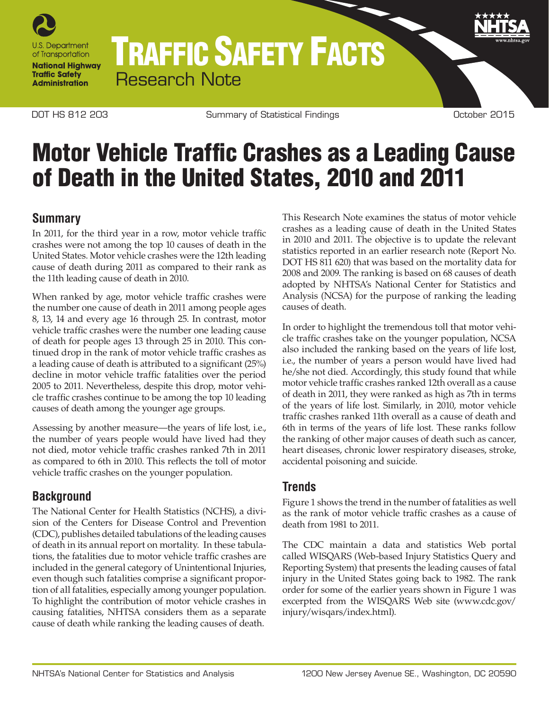

# TRAFFIC SAFETY FACTS Research Note

DOT HS 812 203 Summary of Statistical Findings Cotober 2015

# Motor Vehicle Traffic Crashes as a Leading Cause of Death in the United States, 2010 and 2011

#### **Summary**

In 2011, for the third year in a row, motor vehicle traffic crashes were not among the top 10 causes of death in the United States. Motor vehicle crashes were the 12th leading cause of death during 2011 as compared to their rank as the 11th leading cause of death in 2010.

When ranked by age, motor vehicle traffic crashes were the number one cause of death in 2011 among people ages 8, 13, 14 and every age 16 through 25. In contrast, motor vehicle traffic crashes were the number one leading cause of death for people ages 13 through 25 in 2010. This continued drop in the rank of motor vehicle traffic crashes as a leading cause of death is attributed to a significant (25%) decline in motor vehicle traffic fatalities over the period 2005 to 2011. Nevertheless, despite this drop, motor vehicle traffic crashes continue to be among the top 10 leading causes of death among the younger age groups.

Assessing by another measure—the years of life lost, i.e., the number of years people would have lived had they not died, motor vehicle traffic crashes ranked 7th in 2011 as compared to 6th in 2010. This reflects the toll of motor vehicle traffic crashes on the younger population.

### **Background**

The National Center for Health Statistics (NCHS), a division of the Centers for Disease Control and Prevention (CDC), publishes detailed tabulations of the leading causes of death in its annual report on mortality. In these tabulations, the fatalities due to motor vehicle traffic crashes are included in the general category of Unintentional Injuries, even though such fatalities comprise a significant proportion of all fatalities, especially among younger population. To highlight the contribution of motor vehicle crashes in causing fatalities, NHTSA considers them as a separate cause of death while ranking the leading causes of death.

This Research Note examines the status of motor vehicle crashes as a leading cause of death in the United States in 2010 and 2011. The objective is to update the relevant statistics reported in an earlier research note (Report No. DOT HS 811 620) that was based on the mortality data for 2008 and 2009. The ranking is based on 68 causes of death adopted by NHTSA's National Center for Statistics and Analysis (NCSA) for the purpose of ranking the leading causes of death.

In order to highlight the tremendous toll that motor vehicle traffic crashes take on the younger population, NCSA also included the ranking based on the years of life lost, i.e., the number of years a person would have lived had he/she not died. Accordingly, this study found that while motor vehicle traffic crashes ranked 12th overall as a cause of death in 2011, they were ranked as high as 7th in terms of the years of life lost. Similarly, in 2010, motor vehicle traffic crashes ranked 11th overall as a cause of death and 6th in terms of the years of life lost. These ranks follow the ranking of other major causes of death such as cancer, heart diseases, chronic lower respiratory diseases, stroke, accidental poisoning and suicide.

#### **Trends**

Figure 1 shows the trend in the number of fatalities as well as the rank of motor vehicle traffic crashes as a cause of death from 1981 to 2011.

The CDC maintain a data and statistics Web portal called WISQARS (Web-based Injury Statistics Query and Reporting System) that presents the leading causes of fatal injury in the United States going back to 1982. The rank order for some of the earlier years shown in Figure 1 was excerpted from the WISQARS Web site [\(www.cdc.gov/](http://www.cdc.gov/injury/wisqars/index.html) injury/wisqars/index.html).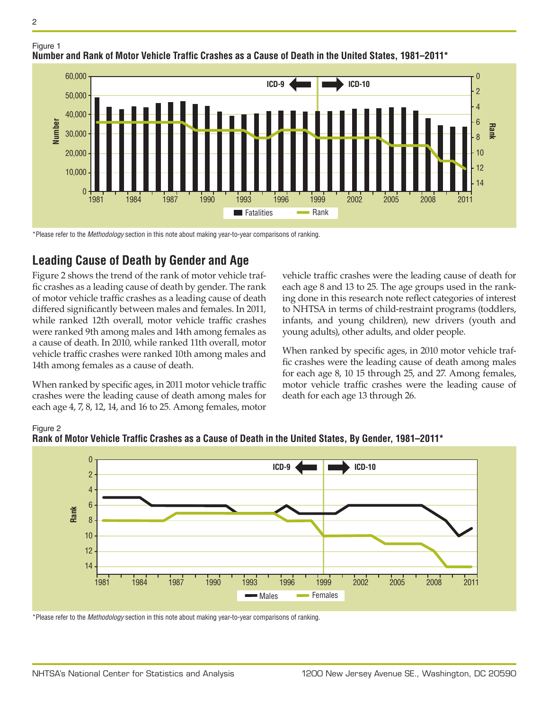

1984 1987 1990 1993 1996 1999

**Number and Rank of Motor Vehicle Traffic Crashes as a Cause of Death in the United States, 1981–2011\***

**Fatalities** Rank

\*Please refer to the *Methodology* section in this note about making year-to-year comparisons of ranking.

### **Leading Cause of Death by Gender and Age**

1981

20,000

10,000

 $\Omega$ 

Figure 2 shows the trend of the rank of motor vehicle traffic crashes as a leading cause of death by gender. The rank of motor vehicle traffic crashes as a leading cause of death differed significantly between males and females. In 2011, while ranked 12th overall, motor vehicle traffic crashes were ranked 9th among males and 14th among females as a cause of death. In 2010, while ranked 11th overall, motor vehicle traffic crashes were ranked 10th among males and 14th among females as a cause of death.

When ranked by specific ages, in 2011 motor vehicle traffic crashes were the leading cause of death among males for each age 4, 7, 8, 12, 14, and 16 to 25. Among females, motor

vehicle traffic crashes were the leading cause of death for each age 8 and 13 to 25. The age groups used in the ranking done in this research note reflect categories of interest to NHTSA in terms of child-restraint programs (toddlers, infants, and young children), new drivers (youth and young adults), other adults, and older people.

2002 2005 2008 2011

**Rank**

When ranked by specific ages, in 2010 motor vehicle traffic crashes were the leading cause of death among males for each age 8, 10 15 through 25, and 27. Among females, motor vehicle traffic crashes were the leading cause of death for each age 13 through 26.



Figure 2 **Rank of Motor Vehicle Traffic Crashes as a Cause of Death in the United States, By Gender, 1981–2011\***

\*Please refer to the *Methodology* section in this note about making year-to-year comparisons of ranking.

Figure 1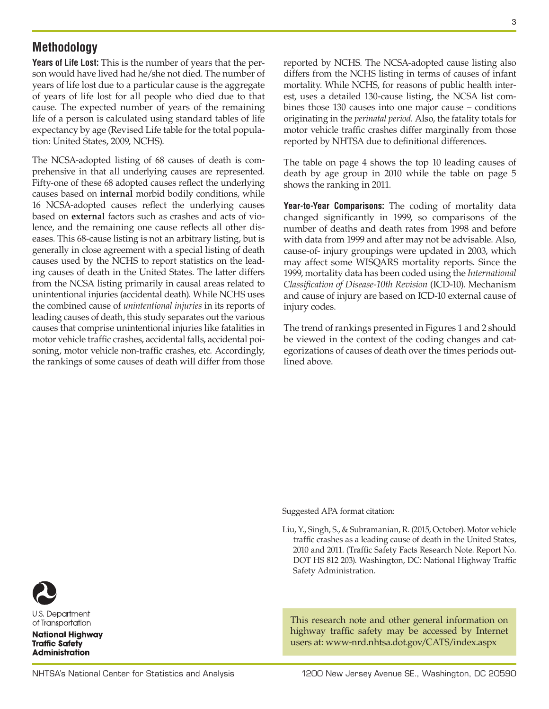#### **Methodology**

**Years of Life Lost:** This is the number of years that the person would have lived had he/she not died. The number of years of life lost due to a particular cause is the aggregate of years of life lost for all people who died due to that cause. The expected number of years of the remaining life of a person is calculated using standard tables of life expectancy by age (Revised Life table for the total population: United States, 2009, NCHS).

The NCSA-adopted listing of 68 causes of death is comprehensive in that all underlying causes are represented. Fifty-one of these 68 adopted causes reflect the underlying causes based on **internal** morbid bodily conditions, while 16 NCSA-adopted causes reflect the underlying causes based on **external** factors such as crashes and acts of violence, and the remaining one cause reflects all other diseases. This 68-cause listing is not an arbitrary listing, but is generally in close agreement with a special listing of death causes used by the NCHS to report statistics on the leading causes of death in the United States. The latter differs from the NCSA listing primarily in causal areas related to unintentional injuries (accidental death). While NCHS uses the combined cause of *unintentional injuries* in its reports of leading causes of death, this study separates out the various causes that comprise unintentional injuries like fatalities in motor vehicle traffic crashes, accidental falls, accidental poisoning, motor vehicle non-traffic crashes, etc. Accordingly, the rankings of some causes of death will differ from those

reported by NCHS. The NCSA-adopted cause listing also differs from the NCHS listing in terms of causes of infant mortality. While NCHS, for reasons of public health interest, uses a detailed 130-cause listing, the NCSA list combines those 130 causes into one major cause – conditions originating in the *perinatal period*. Also, the fatality totals for motor vehicle traffic crashes differ marginally from those reported by NHTSA due to definitional differences.

The table on page 4 shows the top 10 leading causes of death by age group in 2010 while the table on page 5 shows the ranking in 2011.

**Year-to-Year Comparisons:** The coding of mortality data changed significantly in 1999, so comparisons of the number of deaths and death rates from 1998 and before with data from 1999 and after may not be advisable. Also, cause-of- injury groupings were updated in 2003, which may affect some WISQARS mortality reports. Since the 1999, mortality data has been coded using the *International Classification of Disease-10th Revision* (ICD-10). Mechanism and cause of injury are based on ICD-10 external cause of injury codes.

The trend of rankings presented in Figures 1 and 2 should be viewed in the context of the coding changes and categorizations of causes of death over the times periods outlined above.

Suggested APA format citation:

Liu, Y., Singh, S., & Subramanian, R. (2015, October). Motor vehicle traffic crashes as a leading cause of death in the United States, 2010 and 2011. (Traffic Safety Facts Research Note. Report No. DOT HS 812 203). Washington, DC: National Highway Traffic Safety Administration.

This research note and other general information on highway traffic safety may be accessed by Internet users at: [www-nrd.nhtsa.dot.gov/CATS/index.aspx](http://www-nrd.nhtsa.dot.gov/CATS/index.aspx)



U.S. Department of Transportation

**National Highway Traffic Safety Administration**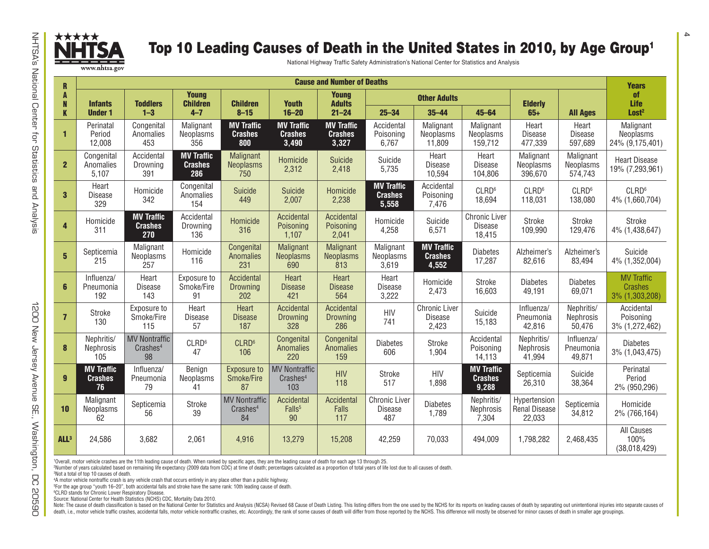

## Top 10 Leading Causes of Death in the United States in 2010, by Age Group<sup>1</sup>

| <b>Cause and Number of Deaths</b><br>$\mathbf{R}$ |                                           |                                                    |                                            |                                                    |                                                     |                                              |                                               |                                                 |                                              |                                         |                                    |                                                       |
|---------------------------------------------------|-------------------------------------------|----------------------------------------------------|--------------------------------------------|----------------------------------------------------|-----------------------------------------------------|----------------------------------------------|-----------------------------------------------|-------------------------------------------------|----------------------------------------------|-----------------------------------------|------------------------------------|-------------------------------------------------------|
| A<br>N<br>K                                       | <b>Infants</b><br><b>Under 1</b>          | <b>Toddlers</b><br>$1 - 3$                         | <b>Young</b><br><b>Children</b><br>$4 - 7$ | <b>Children</b><br>$8 - 15$                        | <b>Youth</b><br>$16 - 20$                           | <b>Young</b><br><b>Adults</b><br>$21 - 24$   | <b>Other Adults</b>                           |                                                 |                                              | <b>Elderly</b>                          |                                    | <b>Years</b><br><b>of</b><br>Life                     |
|                                                   |                                           |                                                    |                                            |                                                    |                                                     |                                              | $25 - 34$                                     | $35 - 44$                                       | $45 - 64$                                    | $65+$                                   | <b>All Ages</b>                    | Lost <sup>2</sup>                                     |
| $\mathbf{1}$                                      | Perinatal<br>Period<br>12,008             | Congenital<br>Anomalies<br>453                     | Malignant<br>Neoplasms<br>356              | <b>MV Traffic</b><br><b>Crashes</b><br>800         | <b>MV Traffic</b><br><b>Crashes</b><br>3,490        | <b>MV Traffic</b><br><b>Crashes</b><br>3,327 | Accidental<br>Poisoning<br>6,767              | Malignant<br>Neoplasms<br>11,809                | Malignant<br>Neoplasms<br>159,712            | Heart<br><b>Disease</b><br>477,339      | Heart<br><b>Disease</b><br>597,689 | Malignant<br>Neoplasms<br>24% (9,175,401)             |
| $\overline{2}$                                    | Congenital<br>Anomalies<br>5,107          | Accidental<br>Drowning<br>391                      | <b>MV Traffic</b><br><b>Crashes</b><br>286 | Malignant<br><b>Neoplasms</b><br>750               | Homicide<br>2,312                                   | Suicide<br>2,418                             | Suicide<br>5,735                              | Heart<br>Disease<br>10,594                      | Heart<br><b>Disease</b><br>104,806           | Malignant<br>Neoplasms<br>396,670       | Malignant<br>Neoplasms<br>574,743  | <b>Heart Disease</b><br>19% (7,293,961)               |
| $\mathbf{3}$                                      | Heart<br><b>Disease</b><br>329            | Homicide<br>342                                    | Congenital<br>Anomalies<br>154             | Suicide<br>449                                     | Suicide<br>2,007                                    | Homicide<br>2,238                            | <b>MV Traffic</b><br><b>Crashes</b><br>5,558  | Accidental<br>Poisoning<br>7,476                | CLRD <sup>6</sup><br>18,694                  | CLRD <sup>6</sup><br>118,031            | CLRD <sup>6</sup><br>138,080       | CLRD <sup>6</sup><br>4% (1,660,704)                   |
| $\overline{\mathbf{4}}$                           | Homicide<br>311                           | <b>MV Traffic</b><br><b>Crashes</b><br>270         | Accidental<br>Drowning<br>136              | Homicide<br>316                                    | Accidental<br>Poisoning<br>1,107                    | Accidental<br>Poisoning<br>2,041             | Homicide<br>4,258                             | Suicide<br>6,571                                | <b>Chronic Liver</b><br>Disease<br>18,415    | Stroke<br>109,990                       | Stroke<br>129,476                  | Stroke<br>4% (1,438,647)                              |
| $5\phantom{1}$                                    | Septicemia<br>215                         | Malignant<br>Neoplasms<br>257                      | Homicide<br>116                            | Congenital<br><b>Anomalies</b><br>231              | Malignant<br><b>Neoplasms</b><br>690                | Malignant<br><b>Neoplasms</b><br>813         | Malignant<br>Neoplasms<br>3,619               | <b>MV Traffic</b><br><b>Crashes</b><br>4,552    | <b>Diabetes</b><br>17,287                    | Alzheimer's<br>82,616                   | Alzheimer's<br>83,494              | Suicide<br>4% (1,352,004)                             |
| 6                                                 | Influenza/<br>Pneumonia<br>192            | Heart<br>Disease<br>143                            | Exposure to<br>Smoke/Fire<br>91            | Accidental<br><b>Drowning</b><br>202               | Heart<br><b>Disease</b><br>421                      | Heart<br><b>Disease</b><br>564               | Heart<br><b>Disease</b><br>3,222              | Homicide<br>2,473                               | Stroke<br>16,603                             | <b>Diabetes</b><br>49,191               | <b>Diabetes</b><br>69,071          | <b>MV Traffic</b><br><b>Crashes</b><br>3% (1,303,208) |
| $\overline{7}$                                    | Stroke<br>130                             | Exposure to<br>Smoke/Fire<br>115                   | Heart<br>Disease<br>57                     | Heart<br><b>Disease</b><br>187                     | Accidental<br>Drowning<br>328                       | Accidental<br>Drowning<br>286                | <b>HIV</b><br>741                             | <b>Chronic Liver</b><br><b>Disease</b><br>2,423 | Suicide<br>15,183                            | Influenza/<br>Pneumonia<br>42,816       | Nephritis/<br>Nephrosis<br>50,476  | Accidental<br>Poisoning<br>3% (1,272,462)             |
| 8                                                 | Nephritis/<br>Nephrosis<br>105            | <b>MV Nontraffic</b><br>Crashes <sup>4</sup><br>98 | CLRD <sup>6</sup><br>47                    | CLRD <sup>6</sup><br>106                           | Congenital<br><b>Anomalies</b><br>220               | Congenital<br><b>Anomalies</b><br>159        | <b>Diabetes</b><br>606                        | Stroke<br>1,904                                 | Accidental<br>Poisoning<br>14,113            | Nephritis/<br>Nephrosis<br>41,994       | Influenza/<br>Pneumonia<br>49,871  | <b>Diabetes</b><br>3% (1,043,475)                     |
| $\overline{9}$                                    | <b>MV Traffic</b><br><b>Crashes</b><br>76 | Influenza/<br>Pneumonia<br>79                      | Benign<br>Neoplasms<br>41                  | <b>Exposure to</b><br>Smoke/Fire<br>87             | <b>MV Nontraffic</b><br>Crashes <sup>4</sup><br>103 | <b>HIV</b><br>118                            | Stroke<br>517                                 | <b>HIV</b><br>1,898                             | <b>MV Traffic</b><br><b>Crashes</b><br>9,288 | Septicemia<br>26,310                    | Suicide<br>38,364                  | Perinatal<br>Period<br>2% (950,296)                   |
| 10                                                | Malignant<br>Neoplasms<br>62              | Septicemia<br>56                                   | Stroke<br>39                               | <b>MV Nontraffic</b><br>Crashes <sup>4</sup><br>84 | Accidental<br>Falls <sup>5</sup><br>90              | Accidental<br>Falls<br>117                   | <b>Chronic Liver</b><br><b>Disease</b><br>487 | <b>Diabetes</b><br>1,789                        | Nephritis/<br>Nephrosis<br>7,304             | Hypertension<br>Renal Disease<br>22,033 | Septicemia<br>34,812               | Homicide<br>2% (766,164)                              |
| ALL <sup>3</sup>                                  | 24,586                                    | 3,682                                              | 2,061                                      | 4,916                                              | 13,279                                              | 15,208                                       | 42,259                                        | 70,033                                          | 494.009                                      | 1,798,282                               | 2,468,435                          | All Causes<br>100%<br>(38,018,429)                    |

1Overall, motor vehicle crashes are the 11th leading cause of death. When ranked by specific ages, they are the leading cause of death for each age 13 through 25.

2Number of years calculated based on remaining life expectancy (2009 data from CDC) at time of death; percentages calculated as a proportion of total years of life lost due to all causes of death.

3Not a total of top 10 causes of death.

4A motor vehicle nontraffic crash is any vehicle crash that occurs entirely in any place other than a public highway.

5For the age group "youth 16–20", both accidental falls and stroke have the same rank: 10th leading cause of death.

6CLRD stands for Chronic Lower Respiratory Disease. Source: National Center for Health Statistics (NCHS) CDC, Mortality Data 2010.

Note: The cause of death classification is based on the National Center for Statistics and Analysis (NCSA) Revised 68 Cause of Death Listing. This listing differs from the one used by the NCHS for its reports on leading ca death, i.e., motor vehicle traffic crashes, accidental falls, motor vehicle nontraffic crashes, etc. Accordingly, the rank of some causes of death will differ from those reported by the NCHS. This difference will mostly be